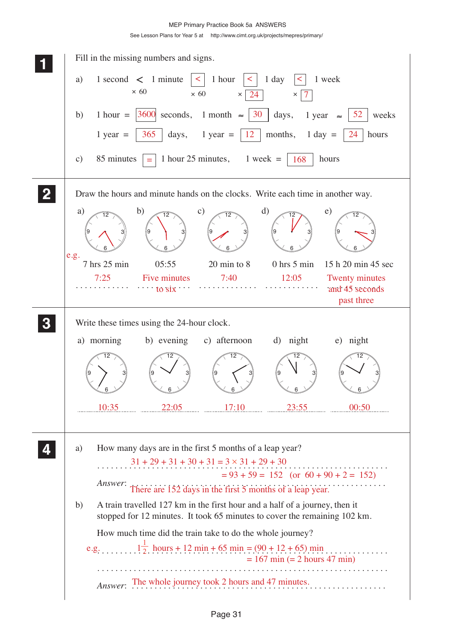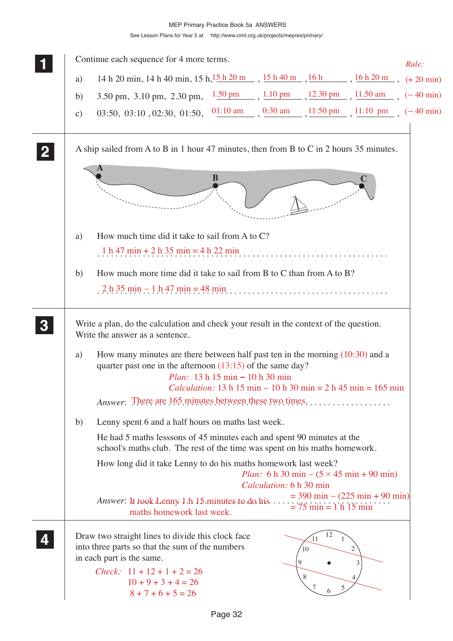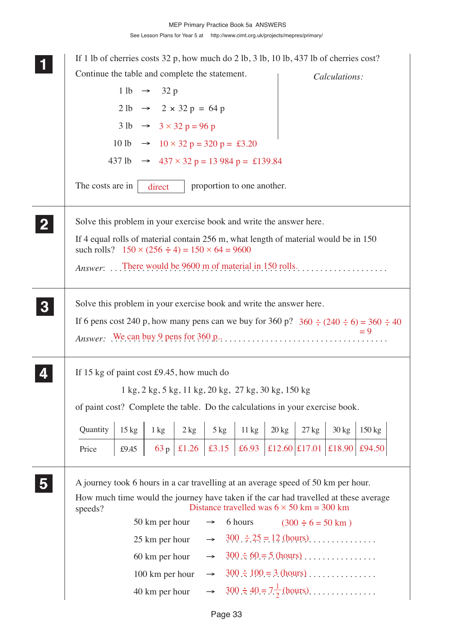**1 11 <sup>11</sup>** If 1 lb of cherries costs 32 p, how much do 2 lb, 3 lb, 10 lb, 437 lb of cherries cost? Continue the table and complete the statement.  $1 lb \rightarrow 32 p$  $2 \text{ lb}$   $\rightarrow$   $2 \times 32 \text{ p} = 64 \text{ p}$  $3 \text{ lb} \rightarrow 3 \times 32 \text{ p} = 96 \text{ p}$ 10 lb  $\rightarrow$  10  $\times$  32 p = 320 p = £3.20 437 lb  $\rightarrow$  437  $\times$  32 p = 13 984 p = £139.84 The costs are in  $\parallel$  direct proportion to one another. Solve this problem in your exercise book and write the answer here. If 4 equal rolls of material contain 256 m, what length of material would be in 150 such rolls?  $150 \times (256 \div 4) = 150 \times 64 = 9600$ *Answer*: . . . . . . . . . . . . . . . . . . . . . . . . . . . . . . . . . . . . . . . . . . . . . . . . . . . . . . . . . . . . . There would be 9600 m of material in 150 rolls. Solve this problem in your exercise book and write the answer here. If 6 pens cost 240 p, how many pens can we buy for 360 p?  $360 \div (240 \div 6) = 360 \div 40$ *Answer:* . . . . . . . . . . . . . . . . . . . . . . . . . . . . . . . . . . . . . . . . . . . . . . . . . . . . . . . . . . . . . We can buy 9 pens for 360 p.. If 15 kg of paint cost £9.45, how much do 1 kg, 2 kg, 5 kg, 11 kg, 20 kg, 27 kg, 30 kg, 150 kg of paint cost? Complete the table. Do the calculations in your exercise book. A journey took 6 hours in a car travelling at an average speed of 50 km per hour. How much time would the journey have taken if the car had travelled at these average speeds? 50 km per hour  $\rightarrow$  6 hours 25 km per hour  $\rightarrow$  300  $\div 25 = 12$  (hours).............. 60 km per hour → . . . . . . . . . . . . . . . . . . . . . . . . . . . . . . . . . 300 60 = 5 (hours) 100 km per hour → . . . . . . . . . . . . . . . . . . . . . . . . . . . . . . . . . 300 100 = 3 (hours) 40 km per hour  $\rightarrow$  300  $\div 40 = 7\frac{1}{2}$  (hours).............. *Calculations:* **2 22 22 5 55 55 3 33 33 4 44 44 Ouantity** Price 15 kg £9.45  $1 \text{ kg}$  $63p$  $2 \text{ kg}$  5 kg 11 kg 20 kg 27 kg 30 kg 150 kg  $\left| \begin{array}{c|c|c|c|c} \pm 1.26 & \pm 3.15 & \pm 6.93 & \pm 12.60 & \pm 17.01 & \pm 18.90 & \pm 94.50 \end{array} \right|$  $(300 \div 6 = 50 \text{ km})$ Distance travelled was  $6 \times 50$  km = 300 km 2 direct = 9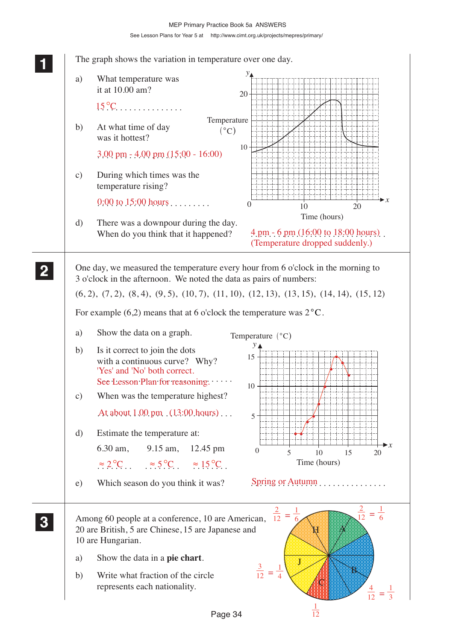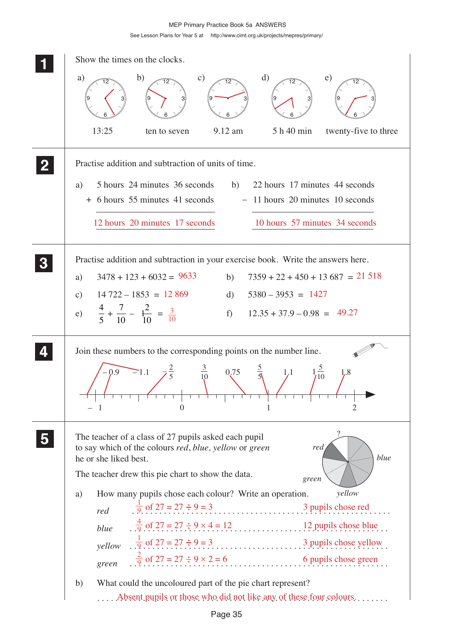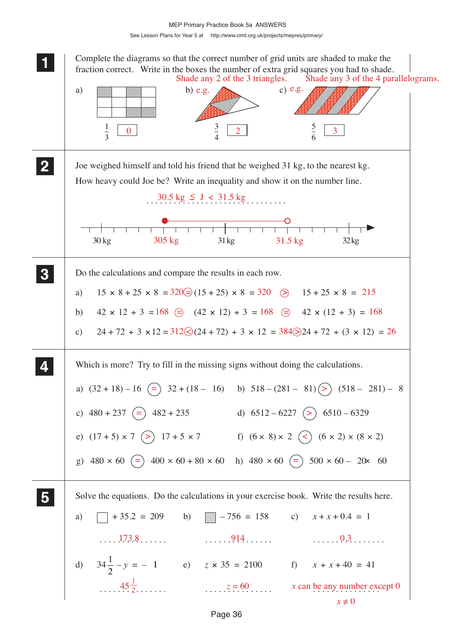### See Lesson Plans for Year 5 at http://www.cimt.org.uk/projects/mepres/primary/ MEP Primary Practice Book 5a ANSWERS

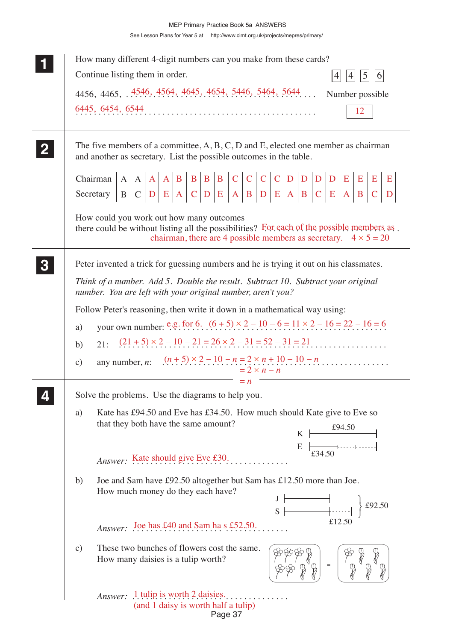| How many different 4-digit numbers can you make from these cards?                                                                                                                                                                                                                                                                                                                                                                                                                                                                                                                                                                         |  |  |  |  |  |  |
|-------------------------------------------------------------------------------------------------------------------------------------------------------------------------------------------------------------------------------------------------------------------------------------------------------------------------------------------------------------------------------------------------------------------------------------------------------------------------------------------------------------------------------------------------------------------------------------------------------------------------------------------|--|--|--|--|--|--|
| Continue listing them in order.<br> 5 <br>$\vert 4 \vert$<br> 6 <br> 4                                                                                                                                                                                                                                                                                                                                                                                                                                                                                                                                                                    |  |  |  |  |  |  |
| 4456, 4465,  4546, 4564, 4645, 4654, 5446, 5464, 5644<br>Number possible                                                                                                                                                                                                                                                                                                                                                                                                                                                                                                                                                                  |  |  |  |  |  |  |
| 6445, 6454, 6544<br>12                                                                                                                                                                                                                                                                                                                                                                                                                                                                                                                                                                                                                    |  |  |  |  |  |  |
| The five members of a committee, $A, B, C, D$ and $E$ , elected one member as chairman<br>and another as secretary. List the possible outcomes in the table.                                                                                                                                                                                                                                                                                                                                                                                                                                                                              |  |  |  |  |  |  |
| E                                                                                                                                                                                                                                                                                                                                                                                                                                                                                                                                                                                                                                         |  |  |  |  |  |  |
|                                                                                                                                                                                                                                                                                                                                                                                                                                                                                                                                                                                                                                           |  |  |  |  |  |  |
| How could you work out how many outcomes<br>there could be without listing all the possibilities? For each of the possible members as<br>chairman, there are 4 possible members as secretary. $4 \times 5 = 20$                                                                                                                                                                                                                                                                                                                                                                                                                           |  |  |  |  |  |  |
| Peter invented a trick for guessing numbers and he is trying it out on his classmates.                                                                                                                                                                                                                                                                                                                                                                                                                                                                                                                                                    |  |  |  |  |  |  |
| Think of a number. Add 5. Double the result. Subtract 10. Subtract your original<br>number. You are left with your original number, aren't you?                                                                                                                                                                                                                                                                                                                                                                                                                                                                                           |  |  |  |  |  |  |
| Follow Peter's reasoning, then write it down in a mathematical way using:                                                                                                                                                                                                                                                                                                                                                                                                                                                                                                                                                                 |  |  |  |  |  |  |
| your own number: e.g. for 6. $(6 + 5) \times 2 - 10 - 6 = 11 \times 2 - 16 = 22 - 16 = 6$<br>a)                                                                                                                                                                                                                                                                                                                                                                                                                                                                                                                                           |  |  |  |  |  |  |
| $(21 + 5) \times 2 - 10 - 21 = 26 \times 2 - 31 = 52 - 31 = 21$<br>21:<br>b)                                                                                                                                                                                                                                                                                                                                                                                                                                                                                                                                                              |  |  |  |  |  |  |
| any number, n: $(n+5) \times 2 - 10 - n = 2 \times n + 10 - 10 - n$<br>$\mathbf{c})$<br>$= 2 \times n - n$                                                                                                                                                                                                                                                                                                                                                                                                                                                                                                                                |  |  |  |  |  |  |
| $= n$<br>Solve the problems. Use the diagrams to help you.                                                                                                                                                                                                                                                                                                                                                                                                                                                                                                                                                                                |  |  |  |  |  |  |
| Kate has £94.50 and Eve has £34.50. How much should Kate give to Eve so<br>a)<br>that they both have the same amount?<br>£94.50<br>K<br>$\frac{1}{2}$<br>$\frac{1}{234.50}$<br>E                                                                                                                                                                                                                                                                                                                                                                                                                                                          |  |  |  |  |  |  |
| Answer: Kate should give Eve £30.                                                                                                                                                                                                                                                                                                                                                                                                                                                                                                                                                                                                         |  |  |  |  |  |  |
| Joe and Sam have £92.50 altogether but Sam has £12.50 more than Joe.<br>b)<br>How much money do they each have?<br>$S \begin{array}{ c c c c c } \hline & & & & \\ \hline & & & & \\ \hline & & & & \\ \hline & & & & \\ \hline & & & & \\ \hline & & & & \\ \hline & & & & \\ \hline & & & & \\ \hline & & & & \\ \hline & & & & \\ \hline & & & & \\ \hline & & & & \\ \hline & & & & \\ \hline & & & & \\ \hline & & & & \\ \hline & & & & \\ \hline & & & & \\ \hline & & & & \\ \hline & & & & & \\ \hline & & & & & \\ \hline & & & & & \\ \hline & & & & & \\ \hline & & & & & \\ \hline & & & & & \\ \hline &$<br>$\big\}$ £92.50 |  |  |  |  |  |  |
| £12.50<br>Answer: Joe has £40 and Sam has £52.50.                                                                                                                                                                                                                                                                                                                                                                                                                                                                                                                                                                                         |  |  |  |  |  |  |
| These two bunches of flowers cost the same.<br>$\mathbf{c})$<br>How many daisies is a tulip worth?                                                                                                                                                                                                                                                                                                                                                                                                                                                                                                                                        |  |  |  |  |  |  |
| <i>Answer:</i> 1 tulip is worth 2 daisies.<br>(and 1 daisy is worth half a tulip)<br>Page 37                                                                                                                                                                                                                                                                                                                                                                                                                                                                                                                                              |  |  |  |  |  |  |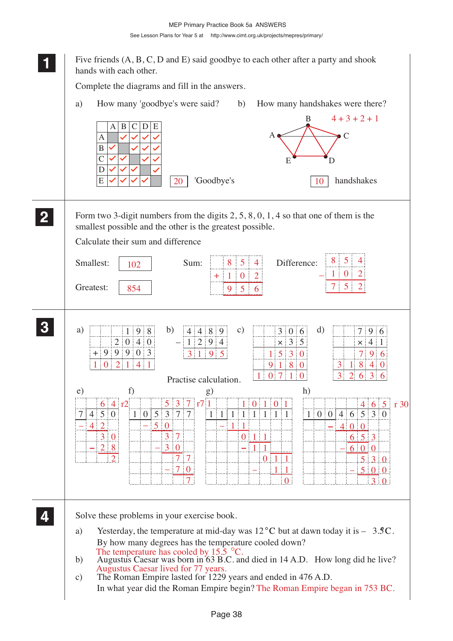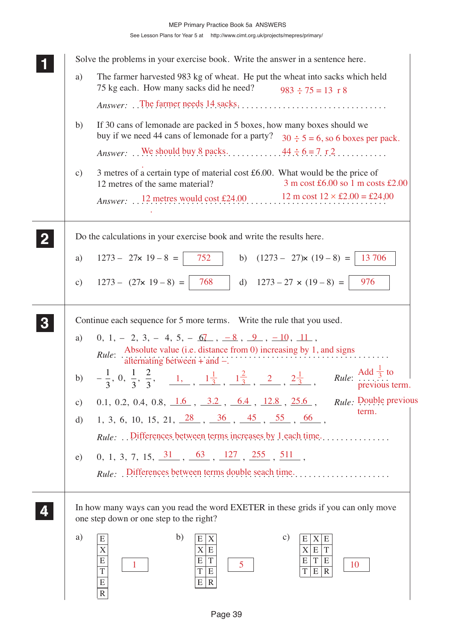|                                                                                       |               | Solve the problems in your exercise book. Write the answer in a sentence here.                                                                                                                                                                                                                |  |  |  |  |
|---------------------------------------------------------------------------------------|---------------|-----------------------------------------------------------------------------------------------------------------------------------------------------------------------------------------------------------------------------------------------------------------------------------------------|--|--|--|--|
|                                                                                       | a)            | The farmer harvested 983 kg of wheat. He put the wheat into sacks which held<br>75 kg each. How many sacks did he need?<br>$983 \div 75 = 13 \text{ r}8$                                                                                                                                      |  |  |  |  |
|                                                                                       |               |                                                                                                                                                                                                                                                                                               |  |  |  |  |
|                                                                                       | b)            | If 30 cans of lemonade are packed in 5 boxes, how many boxes should we<br>buy if we need 44 cans of lemonade for a party? $30 \div 5 = 6$ , so 6 boxes per pack.                                                                                                                              |  |  |  |  |
|                                                                                       |               | Answer: We should buy 8 packs. $\ldots$ 44 $\div$ 6 = 7 $\text{r2}$ .                                                                                                                                                                                                                         |  |  |  |  |
|                                                                                       | $\mathbf{c})$ | 3 metres of a certain type of material cost £6.00. What would be the price of<br>$3 \text{ m cost } \text{\pounds}6.00 \text{ so } 1 \text{ m costs } \text{\pounds}2.00$<br>12 metres of the same material?                                                                                  |  |  |  |  |
|                                                                                       |               | Answer: 12 metres would cost £24.00 12 m cost $12 \times £2.00 = £24,00$                                                                                                                                                                                                                      |  |  |  |  |
| Do the calculations in your exercise book and write the results here.<br>$\mathbf{2}$ |               |                                                                                                                                                                                                                                                                                               |  |  |  |  |
|                                                                                       | a)            | $1273 - 27 \times 19 - 8 =$ 752 b) $(1273 - 27) \times (19 - 8) =$ 13 706                                                                                                                                                                                                                     |  |  |  |  |
|                                                                                       |               | c) $1273 - (27 \times 19 - 8) =   768   d) 1273 - 27 \times (19 - 8) =   976$                                                                                                                                                                                                                 |  |  |  |  |
| Continue each sequence for 5 more terms. Write the rule that you used.                |               |                                                                                                                                                                                                                                                                                               |  |  |  |  |
|                                                                                       | a)            | $0, 1, -2, 3, -4, 5, -6, -8, -8, -9, -10, 11,$<br><i>Rule:</i> Absolute value (i.e. distance from 0) increasing by 1, and signs alternating between $+$ and $-$ .                                                                                                                             |  |  |  |  |
|                                                                                       |               | b) $-\frac{1}{3}$ , 0, $\frac{1}{3}$ , $\frac{2}{3}$ , $\frac{1}{1}$ , $\frac{1^{\frac{1}{3}}}{1^{\frac{3}{3}}}$ , $\frac{1^{\frac{2}{3}}}{1^{\frac{2}{3}}}$ , $\frac{2^{\frac{1}{3}}}{2^{\frac{3}{3}}}$ , Rule: $\frac{\text{Add}}{\text{in}}\frac{\frac{1}{3}}{\text{in}}$ to previous term |  |  |  |  |
|                                                                                       | $\mathbf{c})$ | 0.1, 0.2, 0.4, 0.8, $\frac{1.6}{1.6}$ , $\frac{3.2}{1.2}$ , $\frac{6.4}{1.2.8}$ , $\frac{25.6}{25.6}$ , Rule: Double previous<br>term.                                                                                                                                                        |  |  |  |  |
|                                                                                       | d)            | 1, 3, 6, 10, 15, 21, $\frac{28}{100}$ , $\frac{36}{100}$ , $\frac{45}{100}$ , $\frac{55}{100}$ , $\frac{66}{100}$ ,                                                                                                                                                                           |  |  |  |  |
|                                                                                       |               | <i>Rule:</i> Differences between terms increases by 1 each time                                                                                                                                                                                                                               |  |  |  |  |
|                                                                                       | e)            | $0, 1, 3, 7, 15, \frac{31}{10}, \frac{63}{10}, \frac{127}{12}, \frac{255}{10}, \frac{511}{10},$<br>Rule: Differences between terms double seach time                                                                                                                                          |  |  |  |  |
|                                                                                       |               | In how many ways can you read the word EXETER in these grids if you can only move<br>one step down or one step to the right?                                                                                                                                                                  |  |  |  |  |
|                                                                                       | a)            | b)<br>$\mathbf{c})$<br>${\bf E}$<br>X E<br>X<br>E<br>E<br>X E <br>$\mathbf X$<br>$\mathbf T$<br>${\bf E}$<br>$\mathbf X$<br>E T E<br>$\overline{\mathrm{T}}$<br>$\overline{\mathrm{E}}$<br>E<br>5<br>10<br>$T$ $E$ $R$<br>T E<br>T<br>$\vert R \vert$<br>E<br>E<br>$\mathbf R$                |  |  |  |  |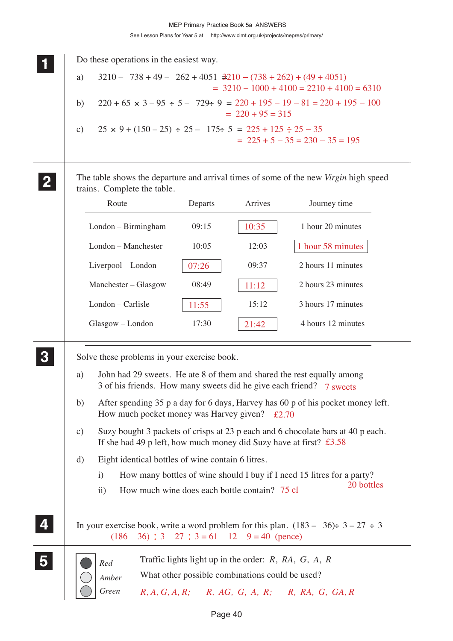|                         | Do these operations in the easiest way.                                                                                                                                                                                                   |  |  |  |  |
|-------------------------|-------------------------------------------------------------------------------------------------------------------------------------------------------------------------------------------------------------------------------------------|--|--|--|--|
|                         | $3210 - 738 + 49 - 262 + 4051 + 210 - (738 + 262) + (49 + 4051)$<br>a)<br>$=$ 3210 - 1000 + 4100 = 2210 + 4100 = 6310<br>$220 + 65 \times 3 - 95 \div 5 - 729 \div 9 = 220 + 195 - 19 - 81 = 220 + 195 - 100$<br>b)<br>$= 220 + 95 = 315$ |  |  |  |  |
|                         |                                                                                                                                                                                                                                           |  |  |  |  |
|                         | $25 \times 9 + (150 - 25) \div 25 - 175 \div 5 = 225 + 125 \div 25 - 35$<br>$\mathbf{c})$<br>$= 225 + 5 - 35 = 230 - 35 = 195$                                                                                                            |  |  |  |  |
|                         | The table shows the departure and arrival times of some of the new <i>Virgin</i> high speed<br>trains. Complete the table.                                                                                                                |  |  |  |  |
|                         | Route<br>Journey time<br>Departs<br>Arrives                                                                                                                                                                                               |  |  |  |  |
|                         | 10:35<br>1 hour 20 minutes<br>London - Birmingham<br>09:15                                                                                                                                                                                |  |  |  |  |
|                         | London - Manchester<br>1 hour 58 minutes<br>12:03<br>10:05                                                                                                                                                                                |  |  |  |  |
|                         | 2 hours 11 minutes<br>Liverpool - London<br>07:26<br>09:37                                                                                                                                                                                |  |  |  |  |
|                         | 2 hours 23 minutes<br>Manchester - Glasgow<br>08:49<br>11:12                                                                                                                                                                              |  |  |  |  |
|                         | London - Carlisle<br>3 hours 17 minutes<br>15:12<br>11:55                                                                                                                                                                                 |  |  |  |  |
|                         | 4 hours 12 minutes<br>Glasgow - London<br>17:30<br>21:42                                                                                                                                                                                  |  |  |  |  |
|                         | Solve these problems in your exercise book.                                                                                                                                                                                               |  |  |  |  |
|                         | John had 29 sweets. He ate 8 of them and shared the rest equally among<br>a)<br>3 of his friends. How many sweets did he give each friend? 7 sweets                                                                                       |  |  |  |  |
|                         | After spending 35 p a day for 6 days, Harvey has 60 p of his pocket money left.<br>b)<br>How much pocket money was Harvey given? $\text{\pounds}2.70$                                                                                     |  |  |  |  |
|                         | Suzy bought 3 packets of crisps at 23 p each and 6 chocolate bars at 40 p each.<br>$\mathbf{c})$<br>If she had 49 p left, how much money did Suzy have at first? $\text{\pounds}3.58$                                                     |  |  |  |  |
|                         | Eight identical bottles of wine contain 6 litres.<br>d)                                                                                                                                                                                   |  |  |  |  |
|                         | How many bottles of wine should I buy if I need 15 litres for a party?<br>$\mathbf{i}$<br>20 bottles<br>How much wine does each bottle contain? 75 cl<br>$\rm ii)$                                                                        |  |  |  |  |
|                         | In your exercise book, write a word problem for this plan. $(183 - 36) \div 3 - 27 \div 3$<br>$(186 - 36) \div 3 - 27 \div 3 = 61 - 12 - 9 = 40$ (pence)                                                                                  |  |  |  |  |
| $\overline{\mathbf{5}}$ | Traffic lights light up in the order: $R$ , $RA$ , $G$ , $A$ , $R$<br>Red<br>What other possible combinations could be used?<br>Amber                                                                                                     |  |  |  |  |
|                         | Green<br>$R, A, G, A, R$ ; $R, AG, G, A, R$ ; $R, RA, G, GA, R$                                                                                                                                                                           |  |  |  |  |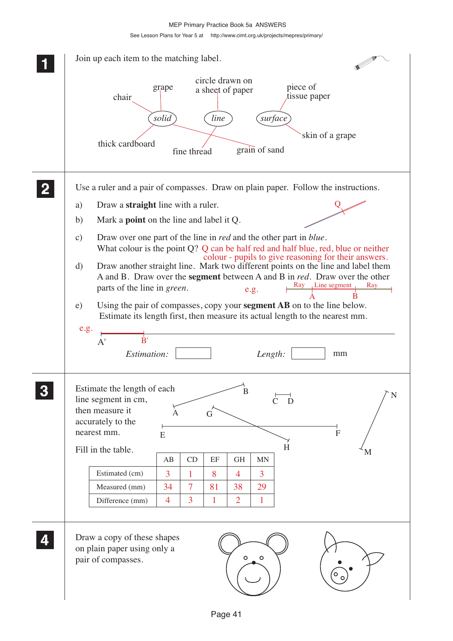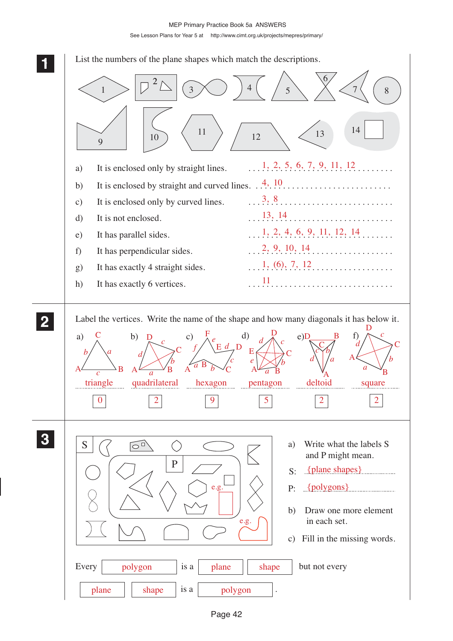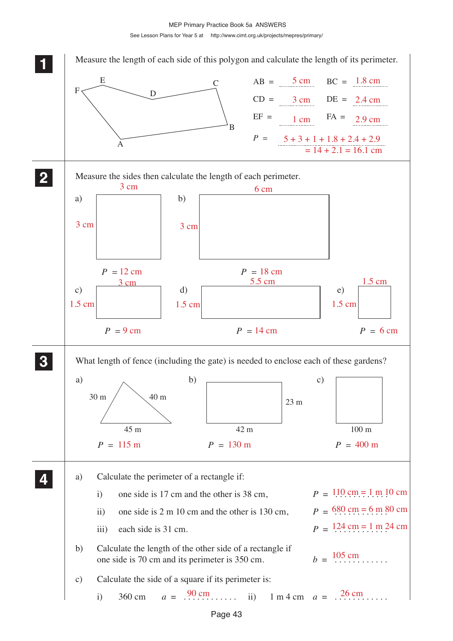MEP Primary Practice Book 5a ANSWERS

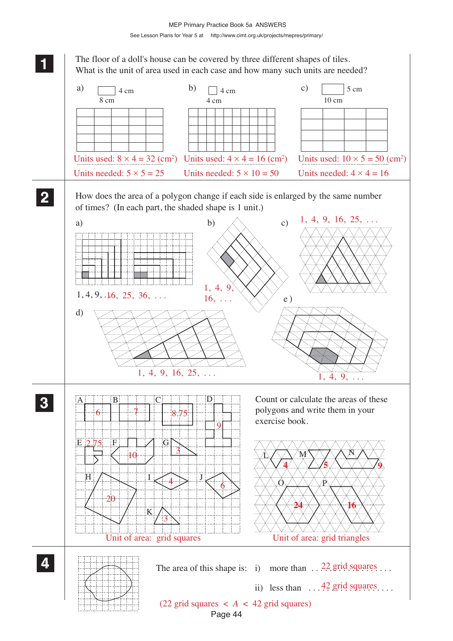

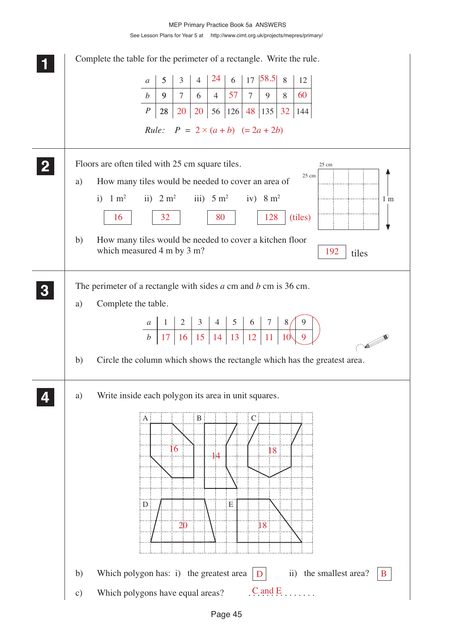## See Lesson Plans for Year 5 at http://www.cimt.org.uk/projects/mepres/primary/ MEP Primary Practice Book 5a ANSWERS

|                           | Complete the table for the perimeter of a rectangle. Write the rule.                                         |
|---------------------------|--------------------------------------------------------------------------------------------------------------|
|                           | 24<br>$17$ 58.5<br>6<br>8<br>$5\overline{)}$<br>$\mathfrak{Z}$<br>12<br>$\overline{4}$<br>$\mathfrak a$      |
|                           | 57<br>$7\overline{ }$<br>60<br>$\tau$<br>$\boldsymbol{b}$<br>$6 \mid 4$<br>9<br>9 <sup>1</sup><br>8          |
|                           | $\boldsymbol{P}$<br>$\vert 56 \vert 126 \vert 48 \vert 135 \vert 32 \vert$<br>20<br>20<br>28<br>144          |
|                           | <i>Rule:</i> $P = 2 \times (a+b) (= 2a + 2b)$                                                                |
|                           | Floors are often tiled with 25 cm square tiles.<br>25 cm                                                     |
| a)                        | $25 \text{ cm}$<br>How many tiles would be needed to cover an area of                                        |
| i) $1 \text{ m}^2$<br>16  | ii) $2 \text{ m}^2$ iii) $5 \text{ m}^2$ iv) $8 \text{ m}^2$<br>1 <sub>m</sub><br>80<br>128<br>32<br>(tiles) |
| b)                        | How many tiles would be needed to cover a kitchen floor<br>which measured 4 m by 3 m?<br>192<br>tiles        |
|                           | The perimeter of a rectangle with sides $a$ cm and $b$ cm is 36 cm.                                          |
| Complete the table.<br>a) |                                                                                                              |
|                           |                                                                                                              |
|                           | 10 <sup>l</sup><br><b>All Contracts</b>                                                                      |
| b)                        | Circle the column which shows the rectangle which has the greatest area.                                     |
| a)                        | Write inside each polygon its area in unit squares.                                                          |
| A                         | $\bf{B}$<br>$\mathcal{C}$                                                                                    |
|                           |                                                                                                              |
|                           | 16<br>18<br>14                                                                                               |
|                           |                                                                                                              |
|                           |                                                                                                              |
| D                         | E                                                                                                            |
|                           | 20<br>18                                                                                                     |
| b)                        | the smallest area?<br>Which polygon has: i) the greatest area<br>$\overline{11}$<br>B                        |
| $\mathbf{c})$             | $C$ and $E$<br>Which polygons have equal areas?                                                              |
|                           |                                                                                                              |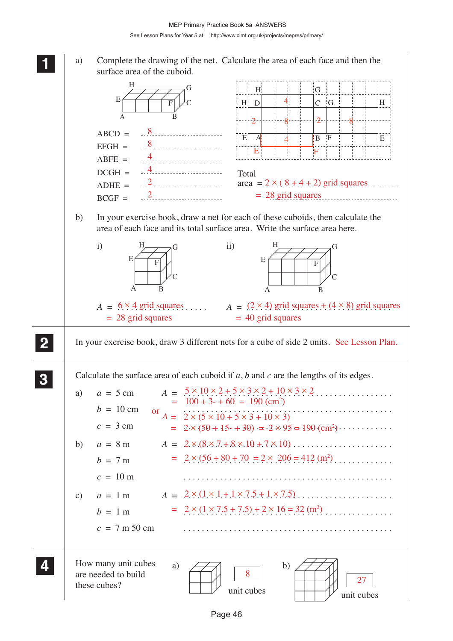**1 11 11**

a) Complete the drawing of the net. Calculate the area of each face and then the surface area of the cuboid.  $H$  D  $4$  $H$  $\begin{bmatrix} G \\ G \end{bmatrix}$ E H F G  $\mathcal{C}_{0}^{(n)}$ 4

|              | А<br>-2-<br>-2-<br>8<br>$ABCD =$<br>$E^{\dagger}$<br>$\mathbf{F}$<br>$\overline{A}$<br>B<br>E<br>$\mathbb{R}^8$<br>$EFGH =$<br>Ε<br>F<br>$\overline{4}$<br>$ABFE =$<br>$\overline{4}$<br>$DCGH =$<br>Total<br>$\overline{\phantom{a}2}$<br>area = $2 \times (8 + 4 + 2)$ grid squares<br>$ADHE =$<br>$= 28$ grid squares<br>$BCGF =$<br>In your exercise book, draw a net for each of these cuboids, then calculate the<br>b)<br>area of each face and its total surface area. Write the surface area here.<br>$\mathbf{i}$<br>H<br>н<br>$\rm ii)$<br>Ġ<br>E<br>E<br>F<br>F<br>А<br>B<br>A<br>B<br>$A = 6 \times 4$ grid squares<br>$A = (2 \times 4)$ grid squares + $(4 \times 8)$ grid squares<br>$= 28$ grid squares<br>$=$ 40 grid squares                                                             |  |
|--------------|-------------------------------------------------------------------------------------------------------------------------------------------------------------------------------------------------------------------------------------------------------------------------------------------------------------------------------------------------------------------------------------------------------------------------------------------------------------------------------------------------------------------------------------------------------------------------------------------------------------------------------------------------------------------------------------------------------------------------------------------------------------------------------------------------------------|--|
| $\mathbf{2}$ | In your exercise book, draw 3 different nets for a cube of side 2 units. See Lesson Plan.                                                                                                                                                                                                                                                                                                                                                                                                                                                                                                                                                                                                                                                                                                                   |  |
|              | Calculate the surface area of each cuboid if $a$ , $b$ and $c$ are the lengths of its edges.<br>$A = 5 \times 10 \times 2 + 5 \times 3 \times 2 + 10 \times 3 \times 2$<br>$a = 5$ cm<br>a)<br>$= 100 + 3 - 60 = 190$ (cm <sup>2</sup> )<br>$b = 10$ cm<br>.<br>or<br>$A = 2 \times (5 \times 10 + 5 \times 3 + 10 \times 3)$<br>$c = 3$ cm<br>= $2 \times (50 + 15 + 30) = 2 \times 95 = 190 \text{ (cm}^2) \cdot \cdot \cdot \cdot \cdot \cdot \cdot$<br>b)<br>$a = 8$ m<br>= $2 \times (56 + 80 + 70) = 2 \times 206 = 412$ (m <sup>2</sup> )<br>$b = 7 m$<br>$c = 10 \text{ m}$<br>$A = 2 \times (1 \times 1 + 1 \times 7.5 + 1 \times 7.5) \dots \dots \dots \dots \dots$<br>$a = 1$ m<br>c)<br>= $2 \times (1 \times 7.5 + 7.5) + 2 \times 16 = 32$ (m <sup>2</sup> )<br>$b = 1$ m<br>$c = 7$ m 50 cm |  |
|              | How many unit cubes<br>b)<br>a)<br>8<br>are needed to build<br>27<br>these cubes?<br>unit cubes<br>unit cubes                                                                                                                                                                                                                                                                                                                                                                                                                                                                                                                                                                                                                                                                                               |  |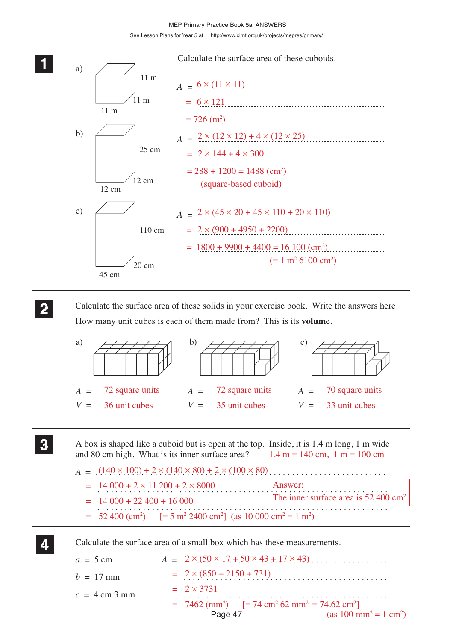MEP Primary Practice Book 5a ANSWERS

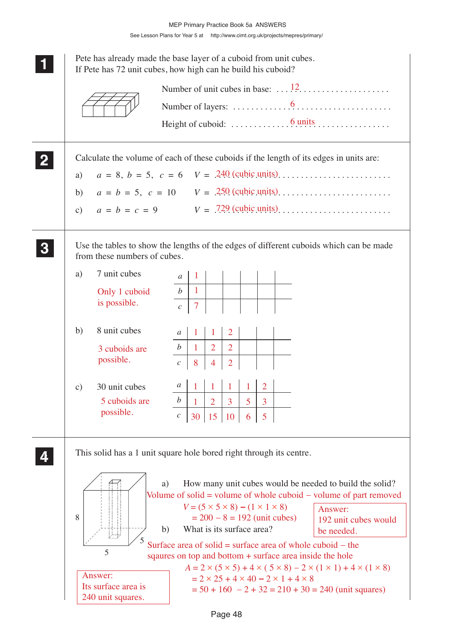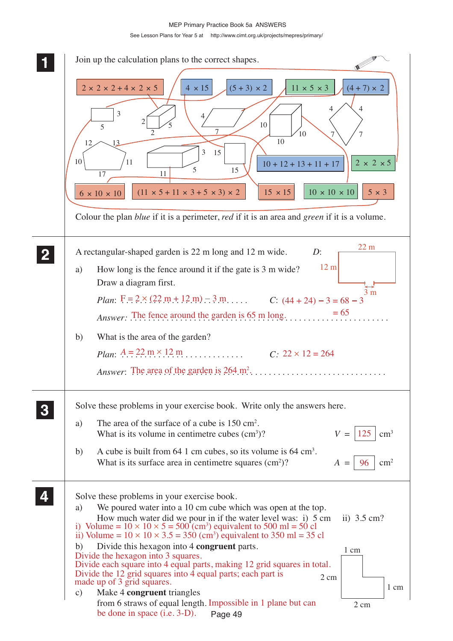